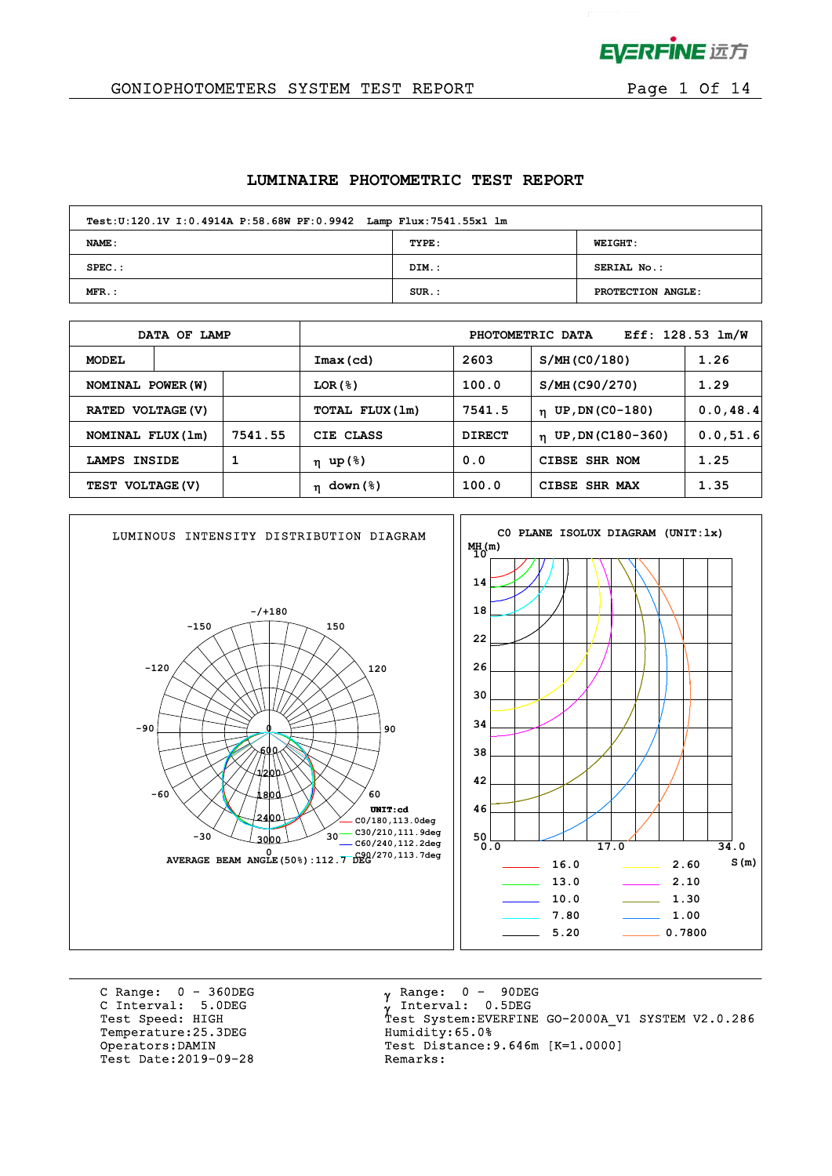

 $\mathcal{L}^{\text{max}}$ 

#### GONIOPHOTOMETERS SYSTEM TEST REPORT FOR Page 1 Of 14

#### **LUMINAIRE PHOTOMETRIC TEST REPORT**

| Test: U:120.1V I: 0.4914A P: 58.68W PF: 0.9942 Lamp Flux: 7541.55x1 lm |          |                   |  |  |  |  |  |  |  |  |
|------------------------------------------------------------------------|----------|-------------------|--|--|--|--|--|--|--|--|
| <b>NAME:</b>                                                           | TYPE:    | <b>WEIGHT:</b>    |  |  |  |  |  |  |  |  |
| $SPEC.$ :                                                              | DIM.:    | SERIAL No.:       |  |  |  |  |  |  |  |  |
| $MFR.$ :                                                               | $SUR.$ : | PROTECTION ANGLE: |  |  |  |  |  |  |  |  |

|                              | DATA OF LAMP  |                 | Eff: $128.53 \text{ lm/W}$<br>PHOTOMETRIC DATA |                                   |                |      |  |  |  |  |
|------------------------------|---------------|-----------------|------------------------------------------------|-----------------------------------|----------------|------|--|--|--|--|
| <b>MODEL</b>                 |               |                 | Imax(cd)                                       | 2603                              | S/MH (CO/180)  | 1.26 |  |  |  |  |
| NOMINAL POWER (W)            |               |                 | LOR(8)                                         | 100.0                             | S/MH (C90/270) | 1.29 |  |  |  |  |
| RATED VOLTAGE (V)            |               | TOTAL FLUX (1m) | 7541.5                                         | UP, DN (C0-180)<br>$\mathbf{n}$   | 0.0, 48.4      |      |  |  |  |  |
| 7541.55<br>NOMINAL FLUX (1m) |               | CIE CLASS       | <b>DIRECT</b>                                  | UP, DN (C180-360)<br>$\mathbf{n}$ | 0.0, 51.6      |      |  |  |  |  |
| LAMPS                        | <b>INSIDE</b> |                 | η up(%)                                        | 0.0                               | CIBSE SHR NOM  | 1.25 |  |  |  |  |
| TEST VOLTAGE (V)             |               | $\eta$ down (%) | 100.0<br>CIBSE SHR MAX                         |                                   | 1.35           |      |  |  |  |  |



C Range: 0 - 360DEG C Interval: 5.0DEG Temperature: 25.3DEG Humidity: 65.0% Test Date: 2019-09-28

 $\gamma$  Range:  $0 - 90$ DEG Interval: 0.5DEG Test Speed: HIGH Test System:EVERFINE GO-2000A\_V1 SYSTEM V2.0.286 Operators:DAMIN Test Distance:9.646m [K=1.0000]<br>Test Date:2019-09-28 Remarks: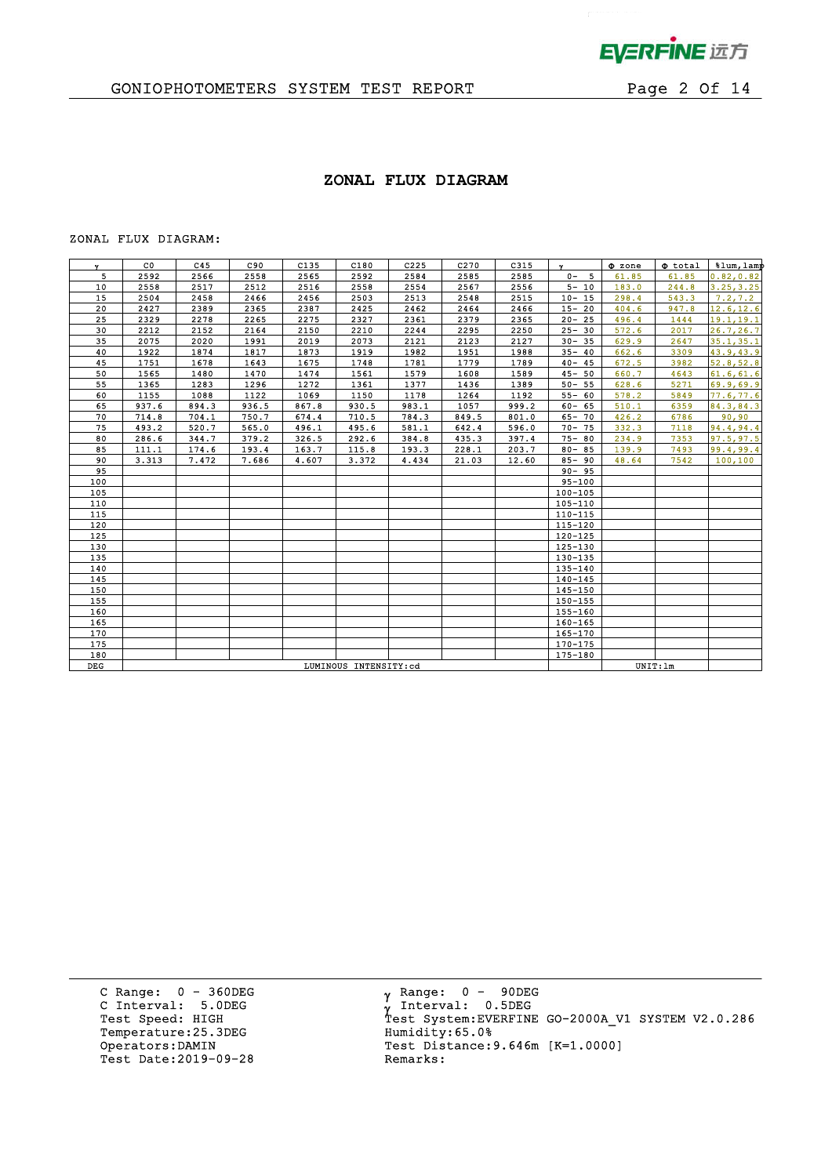

 $\mathbf{p}^{\mathrm{max}}$ 

# GONIOPHOTOMETERS SYSTEM TEST REPORT FOR Page 2 Of 14

#### **ZONAL FLUX DIAGRAM**

#### ZONAL FLUX DIAGRAM:

| Y.  | $_{\rm CO}$           | C45   | C90   | C135  | C180  | C225  | C270  | C315  | $\mathbf{v}$ | $\Phi$ zone | $\Phi$ total | %lum, lamp |
|-----|-----------------------|-------|-------|-------|-------|-------|-------|-------|--------------|-------------|--------------|------------|
| 5   | 2592                  | 2566  | 2558  | 2565  | 2592  | 2584  | 2585  | 2585  | $0 - 5$      | 61.85       | 61.85        | 0.82, 0.82 |
| 10  | 2558                  | 2517  | 2512  | 2516  | 2558  | 2554  | 2567  | 2556  | $5 - 10$     | 183.0       | 244.8        | 3.25, 3.25 |
| 15  | 2504                  | 2458  | 2466  | 2456  | 2503  | 2513  | 2548  | 2515  | $10 - 15$    | 298.4       | 543.3        | 7.2, 7.2   |
| 20  | 2427                  | 2389  | 2365  | 2387  | 2425  | 2462  | 2464  | 2466  | $15 - 20$    | 404.6       | 947.8        | 12.6, 12.6 |
| 25  | 2329                  | 2278  | 2265  | 2275  | 2327  | 2361  | 2379  | 2365  | $20 - 25$    | 496.4       | 1444         | 19.1, 19.1 |
| 30  | 2212                  | 2152  | 2164  | 2150  | 2210  | 2244  | 2295  | 2250  | $25 - 30$    | 572.6       | 2017         | 26.7, 26.7 |
| 35  | 2075                  | 2020  | 1991  | 2019  | 2073  | 2121  | 2123  | 2127  | $30 - 35$    | 629.9       | 2647         | 35.1, 35.1 |
| 40  | 1922                  | 1874  | 1817  | 1873  | 1919  | 1982  | 1951  | 1988  | $35 - 40$    | 662.6       | 3309         | 43.9,43.9  |
| 45  | 1751                  | 1678  | 1643  | 1675  | 1748  | 1781  | 1779  | 1789  | $40 - 45$    | 672.5       | 3982         | 52.8, 52.8 |
| 50  | 1565                  | 1480  | 1470  | 1474  | 1561  | 1579  | 1608  | 1589  | $45 - 50$    | 660.7       | 4643         | 61.6, 61.6 |
| 55  | 1365                  | 1283  | 1296  | 1272  | 1361  | 1377  | 1436  | 1389  | $50 - 55$    | 628.6       | 5271         | 69.9,69.9  |
| 60  | 1155                  | 1088  | 1122  | 1069  | 1150  | 1178  | 1264  | 1192  | $55 - 60$    | 578.2       | 5849         | 77.6,77.6  |
| 65  | 937.6                 | 894.3 | 936.5 | 867.8 | 930.5 | 983.1 | 1057  | 999.2 | $60 - 65$    | 510.1       | 6359         | 84.3,84.3  |
| 70  | 714.8                 | 704.1 | 750.7 | 674.4 | 710.5 | 784.3 | 849.5 | 801.0 | $65 - 70$    | 426.2       | 6786         | 90, 90     |
| 75  | 493.2                 | 520.7 | 565.0 | 496.1 | 495.6 | 581.1 | 642.4 | 596.0 | $70 - 75$    | 332.3       | 7118         | 94.4,94.4  |
| 80  | 286.6                 | 344.7 | 379.2 | 326.5 | 292.6 | 384.8 | 435.3 | 397.4 | $75 - 80$    | 234.9       | 7353         | 97.5, 97.5 |
| 85  | 111.1                 | 174.6 | 193.4 | 163.7 | 115.8 | 193.3 | 228.1 | 203.7 | $80 - 85$    | 139.9       | 7493         | 99.4,99.4  |
| 90  | 3.313                 | 7.472 | 7.686 | 4.607 | 3.372 | 4.434 | 21.03 | 12.60 | $85 - 90$    | 48.64       | 7542         | 100, 100   |
| 95  |                       |       |       |       |       |       |       |       | $90 - 95$    |             |              |            |
| 100 |                       |       |       |       |       |       |       |       | $95 - 100$   |             |              |            |
| 105 |                       |       |       |       |       |       |       |       | $100 - 105$  |             |              |            |
| 110 |                       |       |       |       |       |       |       |       | $105 - 110$  |             |              |            |
| 115 |                       |       |       |       |       |       |       |       | $110 - 115$  |             |              |            |
| 120 |                       |       |       |       |       |       |       |       | $115 - 120$  |             |              |            |
| 125 |                       |       |       |       |       |       |       |       | 120-125      |             |              |            |
| 130 |                       |       |       |       |       |       |       |       | $125 - 130$  |             |              |            |
| 135 |                       |       |       |       |       |       |       |       | 130-135      |             |              |            |
| 140 |                       |       |       |       |       |       |       |       | 135-140      |             |              |            |
| 145 |                       |       |       |       |       |       |       |       | $140 - 145$  |             |              |            |
| 150 |                       |       |       |       |       |       |       |       | $145 - 150$  |             |              |            |
| 155 |                       |       |       |       |       |       |       |       | 150-155      |             |              |            |
| 160 |                       |       |       |       |       |       |       |       | $155 - 160$  |             |              |            |
| 165 |                       |       |       |       |       |       |       |       | 160-165      |             |              |            |
| 170 |                       |       |       |       |       |       |       |       | 165-170      |             |              |            |
| 175 |                       |       |       |       |       |       |       |       | 170-175      |             |              |            |
| 180 |                       |       |       |       |       |       |       |       | 175-180      |             |              |            |
| DEG | LUMINOUS INTENSITY:cd |       |       |       |       |       |       |       |              |             | UNIT: 1m     |            |

C Range: 0 - 360DEG C Interval: 5.0DEG Temperature:25.3DEG Humidity:65.0%<br>Operators:DAMIN Test Distance: Test Date: 2019-09-28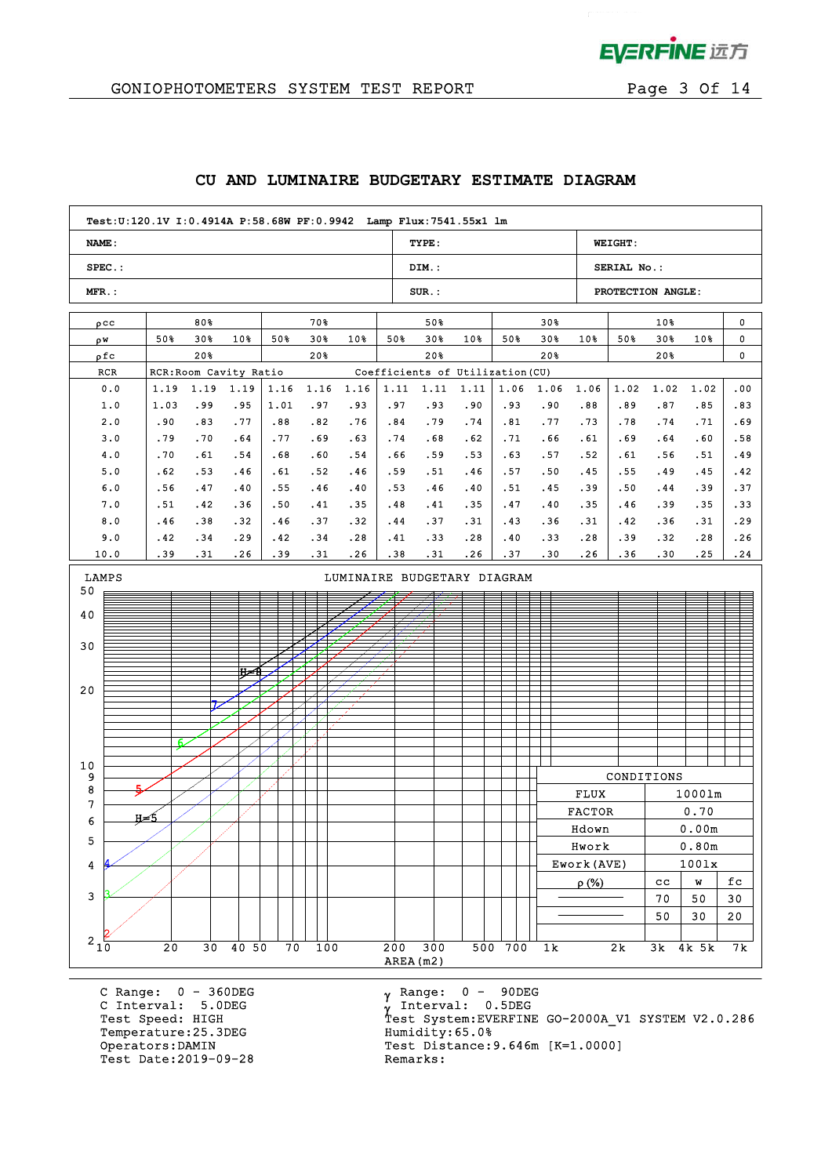

 $\alpha$  .

# GONIOPHOTOMETERS SYSTEM TEST REPORT FOR Page 3 Of 14

|  |  |  | CU AND LUMINAIRE BUDGETARY ESTIMATE DIAGRAM |  |  |
|--|--|--|---------------------------------------------|--|--|
|--|--|--|---------------------------------------------|--|--|

|                 |     |      |      | Test: U:120.1V I: 0.4914A P: 58.68W PF: 0.9942 Lamp Flux: 7541.55x1 lm |      |       |                             |                  |          |                                  |         |                 |               |                   |             |          |     |
|-----------------|-----|------|------|------------------------------------------------------------------------|------|-------|-----------------------------|------------------|----------|----------------------------------|---------|-----------------|---------------|-------------------|-------------|----------|-----|
| <b>NAME:</b>    |     |      |      |                                                                        |      |       |                             |                  | TYPE:    |                                  |         |                 |               | <b>WEIGHT:</b>    |             |          |     |
| $SPEC.$ :       |     |      |      |                                                                        |      |       |                             |                  | DIM.:    |                                  |         |                 |               | SERIAL No.:       |             |          |     |
| $MFR$ .:        |     |      |      |                                                                        |      |       |                             |                  | $SUR$ .: |                                  |         |                 |               | PROTECTION ANGLE: |             |          |     |
| $\rho$ CC       |     |      | 80%  |                                                                        |      | 70%   |                             |                  | 50%      |                                  |         | 30 <sub>8</sub> |               |                   | 10%         |          | 0   |
| ρW              |     | 50%  | 30%  | 10%                                                                    | 50%  | $30*$ | 10%                         | 50%              | 30%      | $10*$                            | 50%     | $30*$           | 10%           | 50%               | 30%         | 10%      | 0   |
| ρfc             |     |      | 20%  |                                                                        |      | 20%   |                             |                  | 20%      |                                  |         | 20%             |               |                   | 20%         |          | 0   |
| RCR             |     |      |      | RCR: Room Cavity Ratio                                                 |      |       |                             |                  |          | Coefficients of Utilization (CU) |         |                 |               |                   |             |          |     |
| 0.0             |     | 1.19 | 1.19 | 1.19                                                                   | 1.16 | 1.16  | 1.16                        | 1.11             | 1.11     | 1.11                             | 1.06    | 1.06            | 1.06          | 1.02              | 1.02        | 1.02     | .00 |
| 1.0             |     | 1.03 | .99  | .95                                                                    | 1.01 | .97   | .93                         | .97              | .93      | .90                              | .93     | .90             | .88           | .89               | .87         | .85      | .83 |
| 2.0             |     | .90  | .83  | .77                                                                    | .88  | .82   | .76                         | .84              | .79      | .74                              | .81     | .77             | .73           | .78               | .74         | .71      | .69 |
| 3.0             |     | .79  | .70  | .64                                                                    | .77  | .69   | .63                         | .74              | .68      | .62                              | .71     | .66             | .61           | .69               | .64         | .60      | .58 |
| 4.0             |     | .70  | .61  | .54                                                                    | .68  | .60   | .54                         | .66              | .59      | .53                              | .63     | .57             | .52           | .61               | .56         | .51      | .49 |
| 5.0             |     | .62  | .53  | .46                                                                    | .61  | .52   | .46                         | .59              | .51      | .46                              | .57     | .50             | .45           | .55               | .49         | .45      | .42 |
| 6.0             |     | .56  | .47  | .40                                                                    | .55  | .46   | .40                         | .53              | .46      | .40                              | .51     | .45             | .39           | .50               | . 44        | .39      | .37 |
| 7.0             |     | .51  | .42  | .36                                                                    | .50  | .41   | .35                         | .48              | .41      | .35                              | .47     | .40             | .35           | .46               | .39         | .35      | .33 |
| 8.0             |     | .46  | .38  | .32                                                                    | .46  | .37   | .32                         | .44              | .37      | .31                              | .43     | .36             | .31           | .42               | .36         | .31      | .29 |
| 9.0             |     | . 42 | .34  | .29                                                                    | .42  | .34   | .28                         | .41              | .33      | .28                              | .40     | .33             | .28           | .39               | .32         | .28      | .26 |
| 10.0            |     | .39  | .31  | .26                                                                    | .39  | .31   | .26                         | .38              | .31      | .26                              | .37     | .30             | .26           | .36               | .30         | .25      | .24 |
| LAMPS<br>50     |     |      |      |                                                                        |      |       | LUMINAIRE BUDGETARY DIAGRAM |                  |          |                                  |         |                 |               |                   |             |          |     |
| 40              |     |      |      |                                                                        |      |       |                             |                  |          |                                  |         |                 |               |                   |             |          |     |
|                 |     |      |      |                                                                        |      |       |                             |                  |          |                                  |         |                 |               |                   |             |          |     |
| 30              |     |      |      |                                                                        |      |       |                             |                  |          |                                  |         |                 |               |                   |             |          |     |
|                 |     |      |      | ਸ਼≍                                                                    |      |       |                             |                  |          |                                  |         |                 |               |                   |             |          |     |
| 20              |     |      |      |                                                                        |      |       |                             |                  |          |                                  |         |                 |               |                   |             |          |     |
|                 |     |      |      |                                                                        |      |       |                             |                  |          |                                  |         |                 |               |                   |             |          |     |
|                 |     |      |      |                                                                        |      |       |                             |                  |          |                                  |         |                 |               |                   |             |          |     |
|                 |     |      |      |                                                                        |      |       |                             |                  |          |                                  |         |                 |               |                   |             |          |     |
|                 |     |      |      |                                                                        |      |       |                             |                  |          |                                  |         |                 |               |                   |             |          |     |
| 10              |     |      |      |                                                                        |      |       |                             |                  |          |                                  |         |                 |               |                   |             |          |     |
| 9<br>8          |     |      |      |                                                                        |      |       |                             |                  |          |                                  |         |                 |               | CONDITIONS        |             |          |     |
| 7               |     |      |      |                                                                        |      |       |                             |                  |          |                                  |         |                 | <b>FLUX</b>   |                   |             | 10001m   |     |
| 6               | н≠5 |      |      |                                                                        |      |       |                             |                  |          |                                  |         |                 | <b>FACTOR</b> |                   |             | 0.70     |     |
| 5               |     |      |      |                                                                        |      |       |                             |                  |          |                                  |         |                 | Hdown         |                   |             | 0.00m    |     |
|                 |     |      |      |                                                                        |      |       |                             |                  |          |                                  |         |                 | Hwork         |                   |             | 0.80m    |     |
| 4               |     |      |      |                                                                        |      |       |                             |                  |          |                                  |         |                 | Ework (AVE)   |                   |             | 1001x    |     |
|                 |     |      |      |                                                                        |      |       |                             |                  |          |                                  |         |                 | $\rho$ (%)    |                   | $_{\rm cc}$ | W        | fc  |
| $\mathbf{3}$    |     |      |      |                                                                        |      |       |                             |                  |          |                                  |         |                 |               |                   | 70          | 50       | 30  |
|                 |     |      |      |                                                                        |      |       |                             |                  |          |                                  |         |                 |               |                   | 50          | 30       | 20  |
| $2\frac{1}{10}$ |     |      |      |                                                                        |      |       |                             |                  |          |                                  |         |                 |               |                   |             |          |     |
|                 |     | 20   |      | 30 40 50                                                               | 70   | 100   |                             | 200<br>AREA (m2) | 300      |                                  | 500 700 | 1k              |               | 2k                |             | 3k 4k 5k | 7 k |
|                 |     |      |      |                                                                        |      |       |                             |                  |          |                                  |         |                 |               |                   |             |          |     |

C Range: 0 - 360DEG C Interval: 5.0DEG Temperature:25.3DEG<br>Operators:DAMIN Test Date: 2019-09-28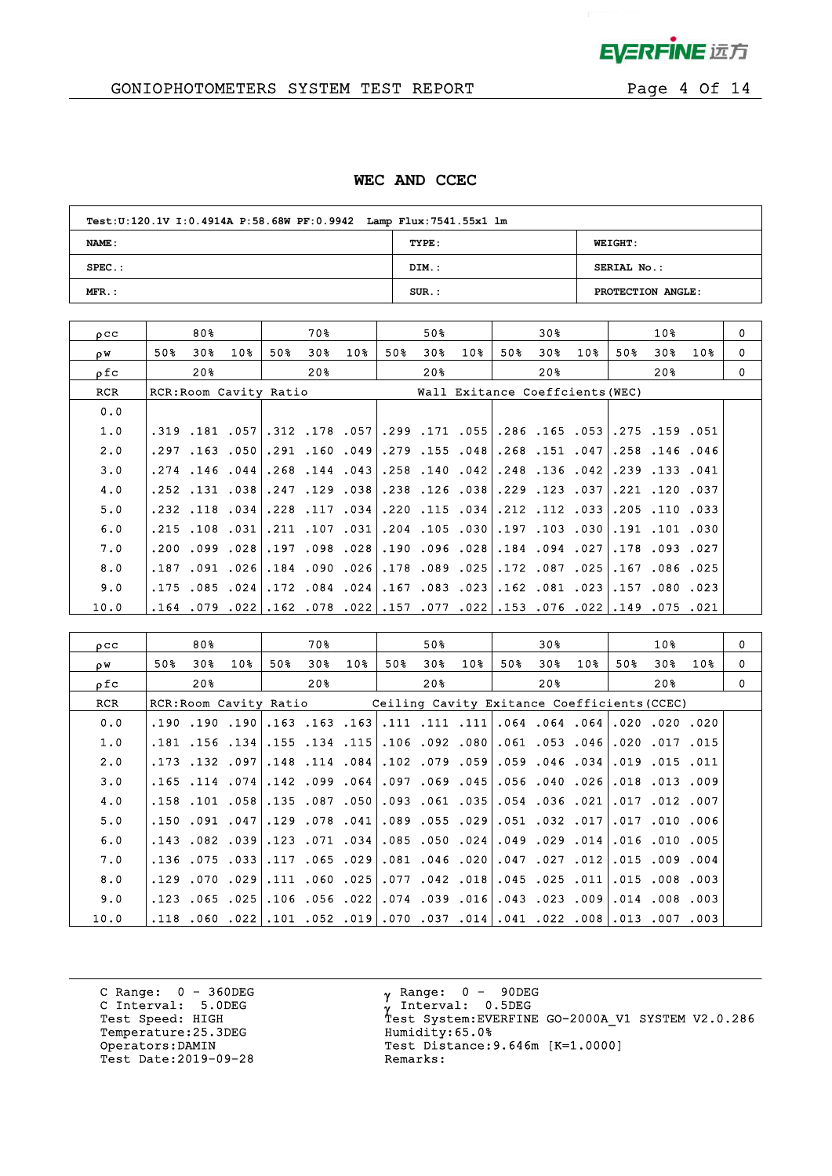

# GONIOPHOTOMETERS SYSTEM TEST REPORT FOR Page 4 Of 14

#### **WEC AND CCEC**

| Test: U:120.1V I: 0.4914A P: 58.68W PF: 0.9942 Lamp Flux: 7541.55x1 lm |          |                   |  |  |  |  |  |  |  |  |
|------------------------------------------------------------------------|----------|-------------------|--|--|--|--|--|--|--|--|
| <b>NAME:</b>                                                           | TYPE:    | <b>WEIGHT:</b>    |  |  |  |  |  |  |  |  |
| $SPEC.$ :                                                              | DIM.:    | SERIAL No.:       |  |  |  |  |  |  |  |  |
| $MFR.$ :                                                               | $SUR$ .: | PROTECTION ANGLE: |  |  |  |  |  |  |  |  |

| $_{0}$ $_{\rm CC}$ |      | 80% |                                                                                 |     | 70% |                      |     | 50% |                                                               |     | 30% |                 |     | 10%                  |                 | $\Omega$ |
|--------------------|------|-----|---------------------------------------------------------------------------------|-----|-----|----------------------|-----|-----|---------------------------------------------------------------|-----|-----|-----------------|-----|----------------------|-----------------|----------|
| ρW                 | 50%  | 30% | 10%                                                                             | 50% | 30% | 10%                  | 50% | 30% | 10 <sub>8</sub>                                               | 50% | 30% | 10 <sub>8</sub> | 50% | 30%                  | 10 <sub>8</sub> | 0        |
| ρfc                |      | 20% |                                                                                 |     | 20% |                      |     | 20% |                                                               |     | 20% |                 |     | 20%                  |                 | $\Omega$ |
| RCR                |      |     | RCR: Room Cavity Ratio                                                          |     |     |                      |     |     | Wall Exitance Coeffcients (WEC)                               |     |     |                 |     |                      |                 |          |
| 0.0                |      |     |                                                                                 |     |     |                      |     |     |                                                               |     |     |                 |     |                      |                 |          |
| 1.0                |      |     | 051. 159. 275. 165. 165. 286. 178057. 178. 299. 177. 178. 179. 181. 189312.     |     |     |                      |     |     |                                                               |     |     |                 |     |                      |                 |          |
| 2.0                | .297 |     | .163 .050                                                                       |     |     |                      |     |     | .291 .160 .049 .279 .155 .048 .268 .151 .047                  |     |     |                 |     | .258.146.046         |                 |          |
| 3.0                |      |     | $.274$ $.146$ $.044$                                                            |     |     |                      |     |     | .269. 133. 149. 136. 136. 138. 1042. 140. 158. 149. 144. 268. |     |     |                 |     |                      |                 |          |
| 4.0                |      |     | .252 .131 .038                                                                  |     |     | $.247$ $.129$ $.038$ |     |     | 37. 123. 229. 38. 126. 238.                                   |     |     |                 |     | $.221$ $.120$ $.037$ |                 |          |
| 5.0                |      |     | .231. 110. 205. [233. 112. 122.  234. 115. 220.  234. 117. 228.  234. 118. 232. |     |     |                      |     |     |                                                               |     |     |                 |     |                      |                 |          |
| 6.0                |      |     | $.215$ $.108$ $.031$                                                            |     |     | .211 .107 .031       |     |     | .204.030.197.103.030                                          |     |     |                 |     | .191.101.030         |                 |          |
| 7.0                |      |     | .200.099.028                                                                    |     |     |                      |     |     | 027. 094. 014. 228. 096. 190. 028. 098. 197.                  |     |     |                 |     | .178.093.027         |                 |          |
| 8.0                | .187 |     | ا026. 091.                                                                      |     |     | .184.090.026         |     |     | ا 025. 087. 172. 025. 089. 178.                               |     |     |                 |     | .167.086.025         |                 |          |
| 9.0                |      |     | $.175$ $.085$ $.024$                                                            |     |     |                      |     |     | .172 .084 .024 .167 .083 .023 .162 .081 .172                  |     |     |                 |     | .157.080.023         |                 |          |
| 10.0               |      |     | 021. 755. 149. 149. 220. 766. 153. 2021. 157. 222. 78. 162. 202. 162. 769. 164. |     |     |                      |     |     |                                                               |     |     |                 |     |                      |                 |          |

| $_{\text{o}cc}$ |      | 80%                  |           |                        | 70 %                                                                          |     |     | 50%                           |     |     | 30% |                                               |     | 10 <sub>8</sub>      |     | $\mathbf 0$ |
|-----------------|------|----------------------|-----------|------------------------|-------------------------------------------------------------------------------|-----|-----|-------------------------------|-----|-----|-----|-----------------------------------------------|-----|----------------------|-----|-------------|
| οW              | 50%  | 30%                  | 10%       | 50%                    | 30%                                                                           | 10% | 50% | 30 <sub>8</sub>               | 10% | 50% | 30% | 10%                                           | 50% | 30%                  | 10% | $\Omega$    |
| ρfc             |      | 20 <sub>8</sub>      |           |                        | 20%                                                                           |     |     | $20\%$                        |     |     | 20월 |                                               |     | 20%                  |     | $\Omega$    |
| <b>RCR</b>      |      |                      |           | RCR: Room Cavity Ratio |                                                                               |     |     |                               |     |     |     | Ceiling Cavity Exitance Coefficients (CCEC)   |     |                      |     |             |
| 0.0             |      | .190.190.190         |           |                        | $.163$ .163.163                                                               |     |     |                               |     |     |     | .111.111.064.064.064.064.111.111.111.         |     |                      |     |             |
| 1.0             |      | $.181$ $.156$ $.134$ |           |                        | .155.134.115                                                                  |     |     |                               |     |     |     | .106.092.080.061.053.046                      |     | .020.017.015         |     |             |
| 2.0             |      | .173 .132 .097       |           |                        | $.148$ $.114$ $.084$                                                          |     |     |                               |     |     |     | .102.079.059.059.046.034                      |     | $.019$ $.015$ $.011$ |     |             |
| 3.0             |      | $.165$ $.114$ $.074$ |           |                        | $.142$ $.099$ $.064$                                                          |     |     |                               |     |     |     | 009. 013. 018. 026. 040. 056. 045. 069. 097.  |     |                      |     |             |
| 4.0             |      | $.158$ $.101$ $.058$ |           |                        | .135.087.050                                                                  |     |     | 021. 036. 054. 054. 093. 093. |     |     |     |                                               |     | .017.012.007         |     |             |
| 5.0             |      |                      |           |                        | ا041. 078. 150. 047. 041. 150. 150.                                           |     |     |                               |     |     |     | 006. 010. 017. 017. 032. 017. 039. 055. 089.  |     |                      |     |             |
| 6.0             |      | $.143$ $.082$ $.039$ |           |                        | .123 .071 .034                                                                |     |     |                               |     |     |     | .085.050.024.049.029.014                      |     | $.016$ $.010$ $.005$ |     |             |
| 7.0             |      |                      |           |                        | .136.075.117.117.136.029.                                                     |     |     |                               |     |     |     | .081.099.027.027.012.015.009.004              |     |                      |     |             |
| 8.0             | .129 |                      | .070.0291 |                        | .111 .060 .025                                                                |     |     |                               |     |     |     | .077.042.018.045.025.011                      |     | 015.008.003.         |     |             |
| 9.0             |      |                      |           |                        | .123.065.106.106.056.123.                                                     |     |     |                               |     |     |     | .003, 008, 016, 009, 023, 023, 016, 039, 034, |     |                      |     |             |
| 10.0            |      |                      |           |                        | .003, 007, 003, 008, 022, 0.41, 0.41, 037, 070, 019, 052, 101, 022, 060, 118, |     |     |                               |     |     |     |                                               |     |                      |     |             |

C Range: 0 - 360DEG C Interval: 5.0DEG Temperature:25.3DEG Humidity:65.0%<br>Operators:DAMIN Test Distance: Test Date: 2019-09-28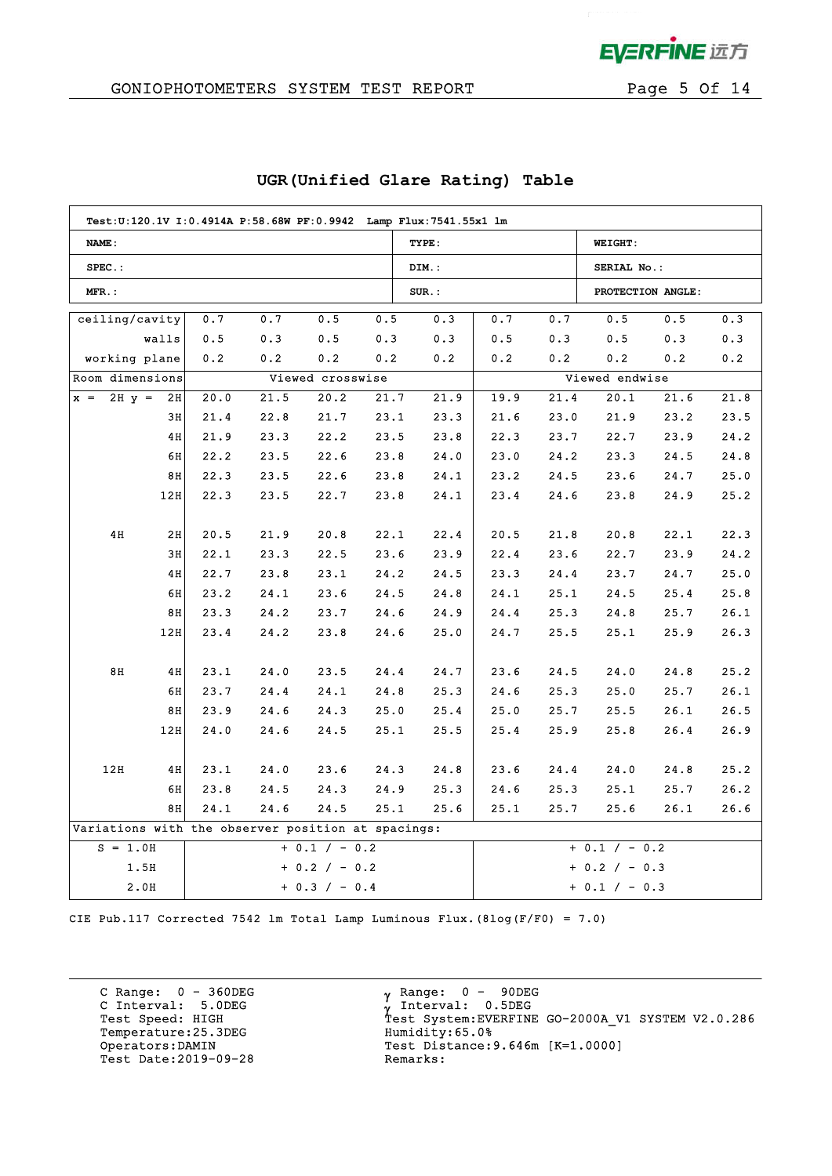

## GONIOPHOTOMETERS SYSTEM TEST REPORT FOR Page 5 Of 14

|                                                    | Test:U:120.1V I:0.4914A P:58.68W PF:0.9942 Lamp Flux:7541.55x1 lm |      |      |                  |      |                 |      |                 |                   |      |      |
|----------------------------------------------------|-------------------------------------------------------------------|------|------|------------------|------|-----------------|------|-----------------|-------------------|------|------|
| NAME:                                              |                                                                   |      |      |                  |      | TYPE:           |      |                 | <b>WEIGHT:</b>    |      |      |
| $SPEC.$ :                                          |                                                                   |      |      |                  |      | DIM.:           |      |                 | SERIAL No.:       |      |      |
| $MFR$ .:                                           |                                                                   |      |      |                  |      | $SUR$ .:        |      |                 | PROTECTION ANGLE: |      |      |
| ceiling/cavity                                     |                                                                   | 0.7  | 0.7  | 0.5              | 0.5  | 0.3             | 0.7  | 0.7             | 0.5               | 0.5  | 0.3  |
|                                                    | walls                                                             | 0.5  | 0.3  | 0.5              | 0.3  | 0.3             | 0.5  | 0.3             | 0.5               | 0.3  | 0.3  |
| working plane                                      |                                                                   | 0.2  | 0.2  | 0.2              | 0.2  | 0.2             | 0.2  | 0.2             | 0.2               | 0.2  | 0.2  |
| Room dimensions                                    |                                                                   |      |      | Viewed crosswise |      |                 |      |                 | Viewed endwise    |      |      |
| $2H y =$<br>$x =$                                  | 2H                                                                | 20.0 | 21.5 | 20.2             | 21.7 | 21.9            | 19.9 | 21.4            | 20.1              | 21.6 | 21.8 |
|                                                    | 3H                                                                | 21.4 | 22.8 | 21.7             | 23.1 | 23.3            | 21.6 | 23.0            | 21.9              | 23.2 | 23.5 |
|                                                    | 4H                                                                | 21.9 | 23.3 | 22.2             | 23.5 | 23.8            | 22.3 | 23.7            | 22.7              | 23.9 | 24.2 |
|                                                    | 6H                                                                | 22.2 | 23.5 | 22.6             | 23.8 | 24.0            | 23.0 | 24.2            | 23.3              | 24.5 | 24.8 |
|                                                    | 8H                                                                | 22.3 | 23.5 | 22.6             | 23.8 | 24.1            | 23.2 | 24.5            | 23.6              | 24.7 | 25.0 |
|                                                    | 12H                                                               | 22.3 | 23.5 | 22.7             | 23.8 | 24.1            | 23.4 | 24.6            | 23.8              | 24.9 | 25.2 |
|                                                    |                                                                   |      |      |                  |      |                 |      |                 |                   |      |      |
| 4H                                                 | 2H                                                                | 20.5 | 21.9 | 20.8             | 22.1 | 22.4            | 20.5 | 21.8            | 20.8              | 22.1 | 22.3 |
|                                                    | 3H                                                                | 22.1 | 23.3 | 22.5             | 23.6 | 23.9            | 22.4 | 23.6            | 22.7              | 23.9 | 24.2 |
|                                                    | 4H                                                                | 22.7 | 23.8 | 23.1             | 24.2 | 24.5            | 23.3 | 24.4            | 23.7              | 24.7 | 25.0 |
|                                                    | 6H                                                                | 23.2 | 24.1 | 23.6             | 24.5 | 24.8            | 24.1 | 25.1            | 24.5              | 25.4 | 25.8 |
|                                                    | 8H                                                                | 23.3 | 24.2 | 23.7             | 24.6 | 24.9            | 24.4 | 25.3            | 24.8              | 25.7 | 26.1 |
|                                                    | 12H                                                               | 23.4 | 24.2 | 23.8             | 24.6 | 25.0            | 24.7 | 25.5            | 25.1              | 25.9 | 26.3 |
|                                                    |                                                                   |      |      |                  |      |                 |      |                 |                   |      |      |
| B <sub>8</sub>                                     | 4H                                                                | 23.1 | 24.0 | 23.5             | 24.4 | 24.7            | 23.6 | 24.5            | 24.0              | 24.8 | 25.2 |
|                                                    | 6H                                                                | 23.7 | 24.4 | 24.1             | 24.8 | 25.3            | 24.6 | 25.3            | 25.0              | 25.7 | 26.1 |
|                                                    | 8H                                                                | 23.9 | 24.6 | 24.3             | 25.0 | 25.4            | 25.0 | 25.7            | 25.5              | 26.1 | 26.5 |
|                                                    | 12H                                                               | 24.0 | 24.6 | 24.5             | 25.1 | 25.5            | 25.4 | 25.9            | 25.8              | 26.4 | 26.9 |
|                                                    |                                                                   |      |      |                  |      |                 |      |                 |                   |      |      |
| 12H                                                | 4H                                                                | 23.1 | 24.0 | 23.6             | 24.3 | 24.8            | 23.6 | 24.4            | 24.0              | 24.8 | 25.2 |
|                                                    | 6H                                                                | 23.8 | 24.5 | 24.3             | 24.9 | 25.3            | 24.6 | 25.3            | 25.1              | 25.7 | 26.2 |
|                                                    | 8H                                                                | 24.1 | 24.6 | 24.5             | 25.1 | 25.6            | 25.1 | 25.7            | 25.6              | 26.1 | 26.6 |
| Variations with the observer position at spacings: |                                                                   |      |      |                  |      |                 |      |                 |                   |      |      |
| $+ 0.1 / - 0.2$<br>$S = 1.0H$                      |                                                                   |      |      |                  |      |                 |      | $+ 0.1 / - 0.2$ |                   |      |      |
| 1.5H<br>$+ 0.2 / - 0.2$                            |                                                                   |      |      |                  |      | $+ 0.2 / - 0.3$ |      |                 |                   |      |      |
| 2.0H<br>$+ 0.3 / - 0.4$                            |                                                                   |      |      |                  |      |                 |      | $+ 0.1 / - 0.3$ |                   |      |      |

### **UGR(Unified Glare Rating) Table**

CIE Pub.117 Corrected 7542 lm Total Lamp Luminous Flux.(8log(F/F0) = 7.0)

C Range: 0 - 360DEG C Interval: 5.0DEG Temperature:25.3DEG Humidity:65.0% Test Date: 2019-09-28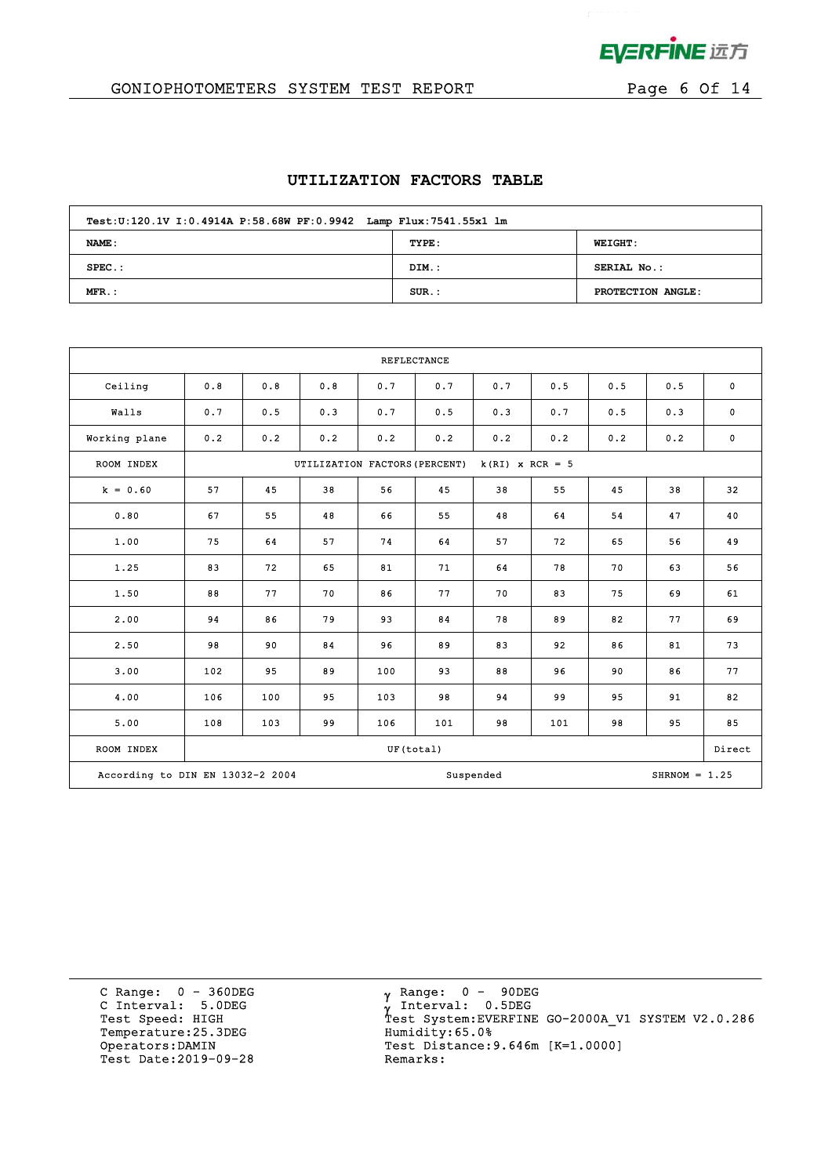

# GONIOPHOTOMETERS SYSTEM TEST REPORT FOR Page 6 Of 14

#### **UTILIZATION FACTORS TABLE**

| Test: U:120.1V I: 0.4914A P: 58.68W PF: 0.9942 Lamp Flux: 7541.55x1 lm |          |                   |  |  |  |  |  |  |  |
|------------------------------------------------------------------------|----------|-------------------|--|--|--|--|--|--|--|
| NAME:                                                                  | TYPE:    | <b>WEIGHT:</b>    |  |  |  |  |  |  |  |
| $SPEC.$ :                                                              | DIM.:    | SERIAL No.:       |  |  |  |  |  |  |  |
| $MFR.$ :                                                               | $SUR$ .: | PROTECTION ANGLE: |  |  |  |  |  |  |  |

| <b>REFLECTANCE</b>               |     |     |                               |           |     |                   |     |     |                 |             |
|----------------------------------|-----|-----|-------------------------------|-----------|-----|-------------------|-----|-----|-----------------|-------------|
| Ceiling                          | 0.8 | 0.8 | 0.8                           | 0.7       | 0.7 | 0.7               | 0.5 | 0.5 | 0.5             | $\mathbf 0$ |
| Walls                            | 0.7 | 0.5 | 0.3                           | 0.7       | 0.5 | 0.3               | 0.7 | 0.5 | 0.3             | $\mathbf 0$ |
| Working plane                    | 0.2 | 0.2 | 0.2                           | 0.2       | 0.2 | 0.2               | 0.2 | 0.2 | 0.2             | $\bf{0}$    |
| ROOM INDEX                       |     |     | UTILIZATION FACTORS (PERCENT) |           |     | $k(RI)$ x RCR = 5 |     |     |                 |             |
| $k = 0.60$                       | 57  | 45  | 38                            | 56        | 45  | 38                | 55  | 45  | 38              | 32          |
| 0.80                             | 67  | 55  | 48                            | 66        | 55  | 48                | 64  | 54  | 47              | 40          |
| 1.00                             | 75  | 64  | 57                            | 74        | 64  | 57                | 72  | 65  | 56              | 49          |
| 1.25                             | 83  | 72  | 65                            | 81        | 71  | 64                | 78  | 70  | 63              | 56          |
| 1.50                             | 88  | 77  | 70                            | 86        | 77  | 70                | 83  | 75  | 69              | 61          |
| 2.00                             | 94  | 86  | 79                            | 93        | 84  | 78                | 89  | 82  | 77              | 69          |
| 2.50                             | 98  | 90  | 84                            | 96        | 89  | 83                | 92  | 86  | 81              | 73          |
| 3.00                             | 102 | 95  | 89                            | 100       | 93  | 88                | 96  | 90  | 86              | 77          |
| 4.00                             | 106 | 100 | 95                            | 103       | 98  | 94                | 99  | 95  | 91              | 82          |
| 5.00                             | 108 | 103 | 99                            | 106       | 101 | 98                | 101 | 98  | 95              | 85          |
| ROOM INDEX                       |     |     |                               | UF(total) |     |                   |     |     |                 | Direct      |
| According to DIN EN 13032-2 2004 |     |     |                               |           |     | Suspended         |     |     | $SHRNOM = 1.25$ |             |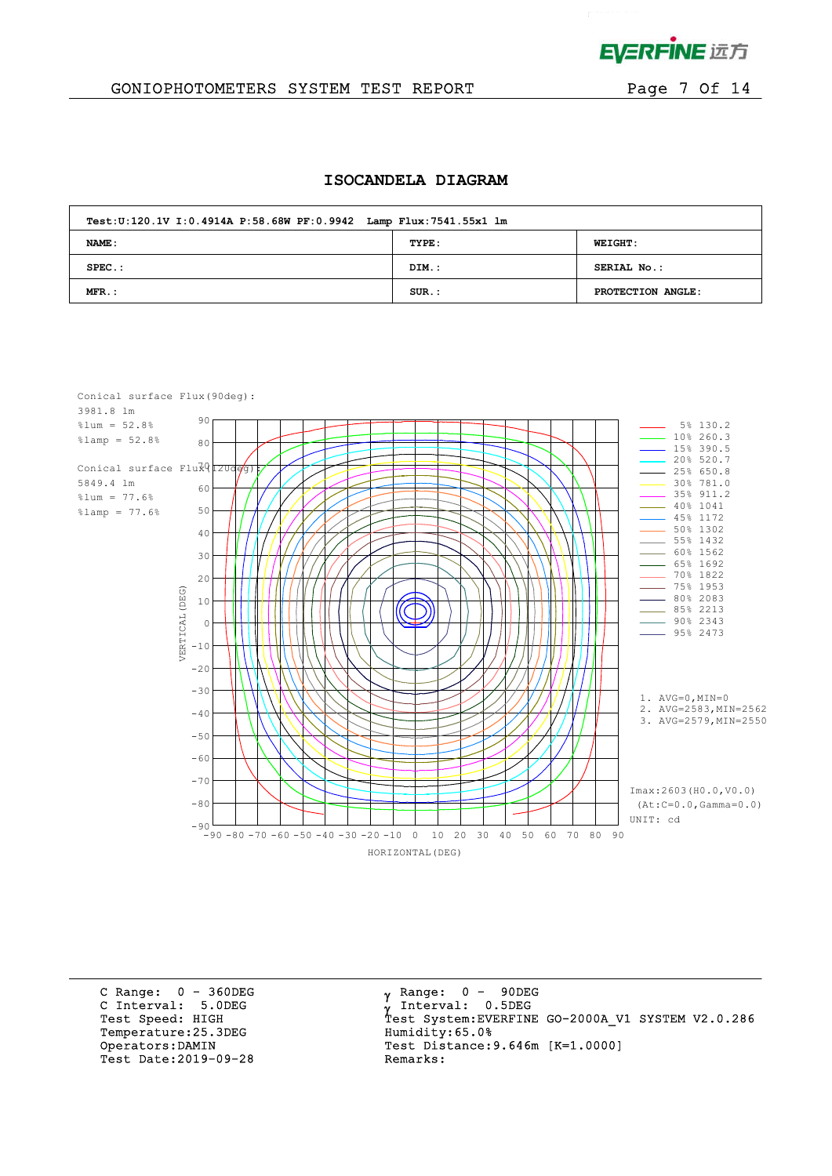

 $\mathcal{L}^{\text{max}}$ 

## GONIOPHOTOMETERS SYSTEM TEST REPORT FOR Page 7 Of 14

#### **ISOCANDELA DIAGRAM**

| Test: U:120.1V I: 0.4914A P: 58.68W PF: 0.9942 Lamp Flux: 7541.55x1 lm |          |                    |  |  |  |  |  |  |  |
|------------------------------------------------------------------------|----------|--------------------|--|--|--|--|--|--|--|
| NAME:                                                                  | TYPE:    | <b>WEIGHT:</b>     |  |  |  |  |  |  |  |
| $SPEC.$ :                                                              | DIM.:    | <b>SERIAL No.:</b> |  |  |  |  |  |  |  |
| $MFR$ .:                                                               | $SUR$ .: | PROTECTION ANGLE:  |  |  |  |  |  |  |  |



C Range: 0 - 360DEG C Interval: 5.0DEG Temperature: 25.3DEG Humidity: 65.0% Test Date: 2019-09-28

 $\gamma$  Range:  $0 - 90$ DEG Interval: 0.5DEG Test Speed: HIGH Test System:EVERFINE GO-2000A\_V1 SYSTEM V2.0.286 Operators:DAMIN Test Distance:9.646m [K=1.0000]<br>Test Date:2019-09-28 Remarks: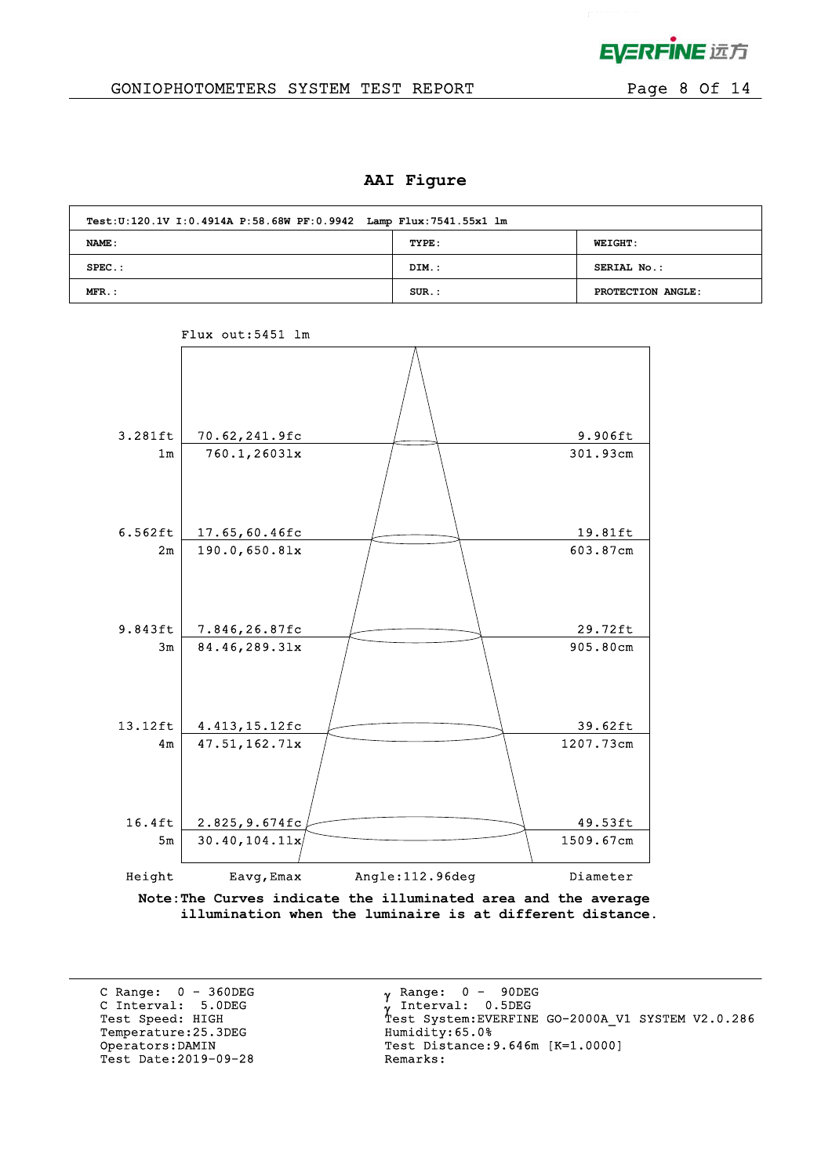

## GONIOPHOTOMETERS SYSTEM TEST REPORT FOR Page 8 Of 14

#### **AAI Figure**

| Test: U:120.1V I: 0.4914A P: 58.68W PF: 0.9942 Lamp Flux: 7541.55x1 lm |          |                   |  |  |  |  |  |  |  |  |  |
|------------------------------------------------------------------------|----------|-------------------|--|--|--|--|--|--|--|--|--|
| NAME :                                                                 | TYPE:    | <b>WEIGHT:</b>    |  |  |  |  |  |  |  |  |  |
| $SPEC.$ :                                                              | DIM.:    | SERIAL No.:       |  |  |  |  |  |  |  |  |  |
| $MFR$ .:                                                               | $SUR.$ : | PROTECTION ANGLE: |  |  |  |  |  |  |  |  |  |



## Flux out:5451 lm

 **illumination when the luminaire is at different distance.**

C Range: 0 - 360DEG C Interval: 5.0DEG Temperature: 25.3DEG Test Date: 2019-09-28

 $\gamma$  Range:  $0 - 90$ DEG Interval: 0.5DEG C INCEIVAL: 3.0DEG<br>
Test Speed: HIGH Test System:EVERFINE GO-2000A\_V1 SYSTEM V2.0.286<br>
Temperature:25.3DEG Humidity:65.0% Operators:DAMIN Test Distance:9.646m [K=1.0000]<br>Test Date:2019-09-28 Remarks: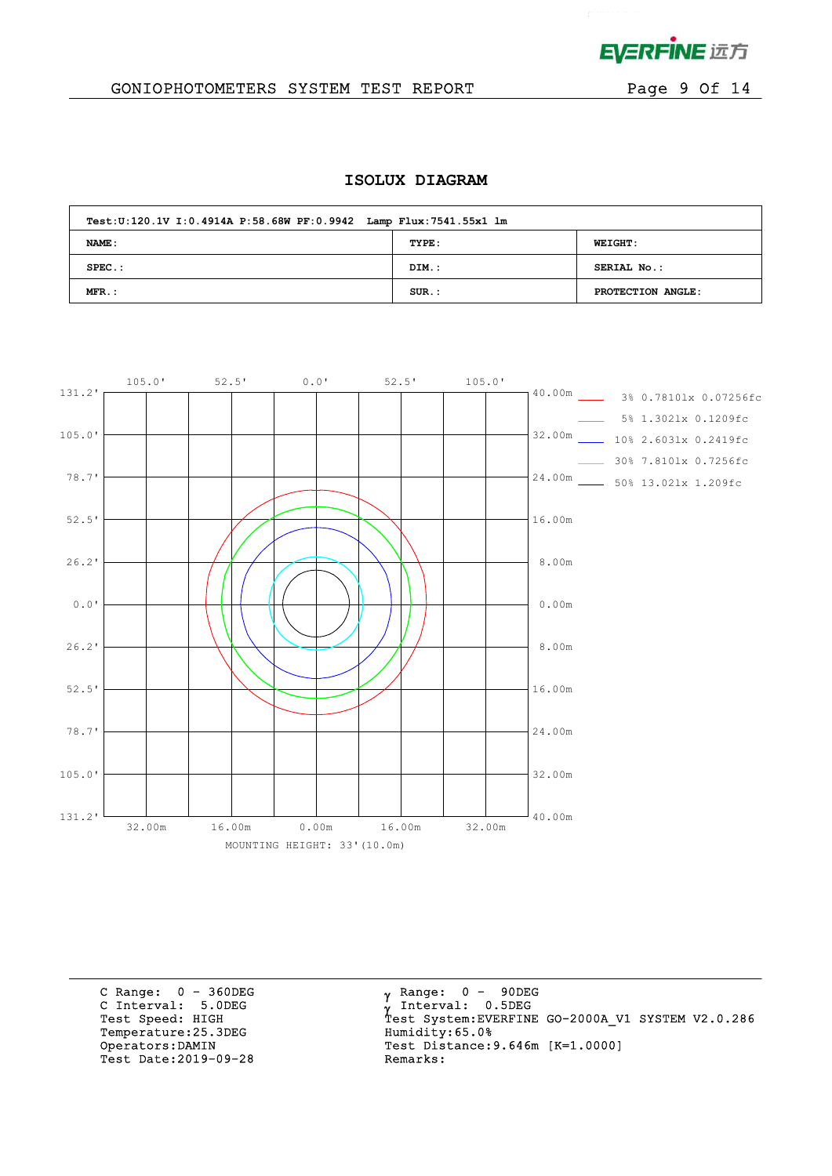

 $\mathcal{L}^{\text{max}}$  and  $\mathcal{L}^{\text{max}}$ 

## GONIOPHOTOMETERS SYSTEM TEST REPORT FOR Page 9 Of 14

#### **ISOLUX DIAGRAM**

| Test: U:120.1V I: 0.4914A P: 58.68W PF: 0.9942 Lamp Flux: 7541.55x1 lm |          |                   |
|------------------------------------------------------------------------|----------|-------------------|
| <b>NAME:</b>                                                           | TYPE:    | <b>WEIGHT:</b>    |
| $SPEC.$ :                                                              | DIM.:    | SERIAL No.:       |
| $MFR$ .:                                                               | $SUR.$ : | PROTECTION ANGLE: |



C Range: 0 - 360DEG C Interval: 5.0DEG Temperature:25.3DEG Humidity:65.0%<br>Operators:DAMIN Test Distance:9 Test Date: 2019-09-28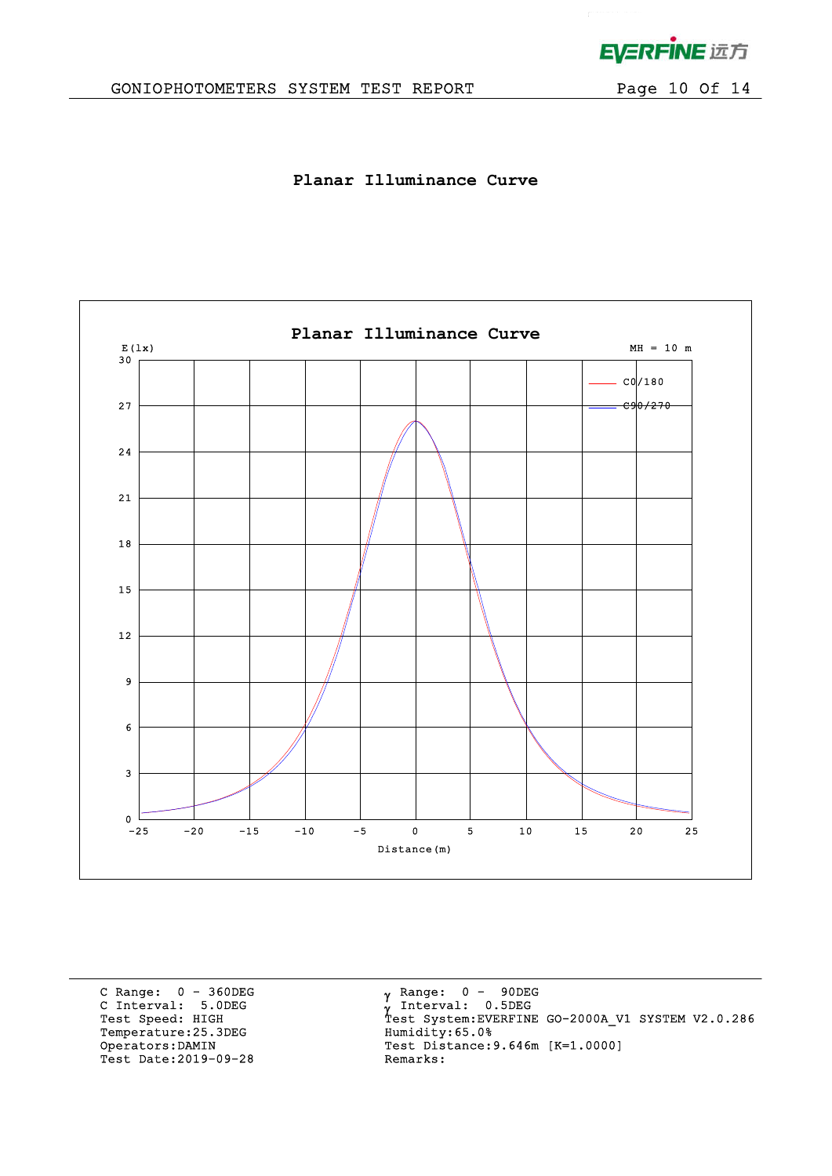

 $\mathcal{L}^{\text{max}}$ 

# GONIOPHOTOMETERS SYSTEM TEST REPORT Page 10 Of 14

**Planar Illuminance Curve**



C Range: 0 - 360DEG C Interval: 5.0DEG Temperature:25.3DEG Humidity:65.0%<br>Operators:DAMIN Test Distance:9 Test Date: 2019-09-28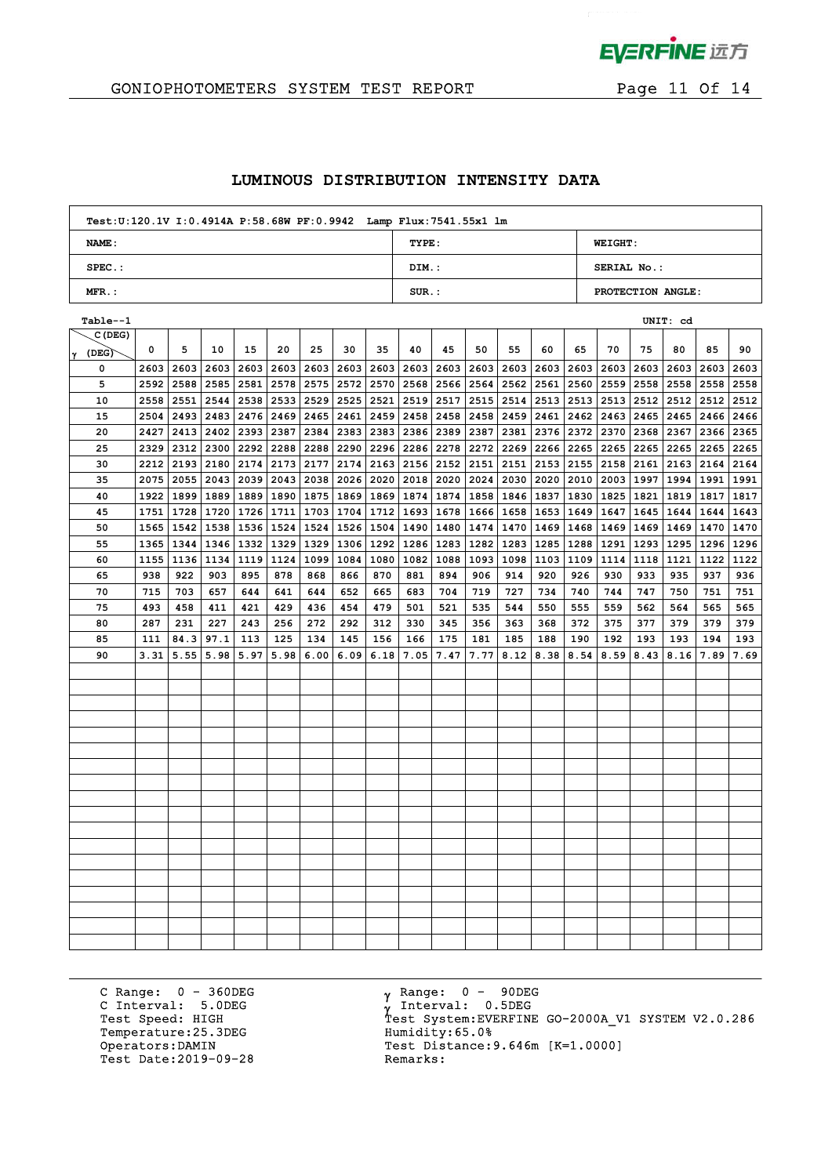

## GONIOPHOTOMETERS SYSTEM TEST REPORT FOR Page 11 Of 14

#### **LUMINOUS DISTRIBUTION INTENSITY DATA**

| Test: U:120.1V I: 0.4914A P: 58.68W PF: 0.9942 Lamp Flux: 7541.55x1 lm |          |                   |
|------------------------------------------------------------------------|----------|-------------------|
| NAME:                                                                  | TYPE:    | <b>WEIGHT:</b>    |
| $SPEC.$ :                                                              | DIM.:    | SERIAL No.:       |
| $MFR.$ :                                                               | $SUR$ .: | PROTECTION ANGLE: |

| Table--1          |      |      |      |               |                           |             |      |             |           |           |      |      |      |             |                |                    | UNIT: cd |             |      |
|-------------------|------|------|------|---------------|---------------------------|-------------|------|-------------|-----------|-----------|------|------|------|-------------|----------------|--------------------|----------|-------------|------|
| C(DEG)            |      |      |      |               |                           |             |      |             |           |           |      |      |      |             |                |                    |          |             |      |
| $ \gamma\>$ (DEG) | 0    | 5    | 10   | 15            | 20                        | 25          | 30   | 35          | 40        | 45        | 50   | 55   | 60   | 65          | 70             | 75                 | 80       | 85          | 90   |
| 0                 | 2603 | 2603 | 2603 | 2603          |                           | 2603   2603 |      | 2603 2603   | 2603      | 2603      | 2603 | 2603 | 2603 |             | 2603 2603      | 2603               | 2603     | 2603        | 2603 |
| 5                 | 2592 | 2588 |      | $2585$   2581 |                           | 2578 2575   |      | 2572 2570   | 2568      | 2566      | 2564 | 2562 | 2561 |             | 2560 2559 2558 |                    | 2558     | 2558        | 2558 |
| 10                | 2558 | 2551 | 2544 | 2538          |                           | 2533 2529   | 2525 | 2521        | 2519      | 2517      | 2515 | 2514 | 2513 |             |                | 2513   2513   2512 | 2512     | 2512 2512   |      |
| 15                | 2504 | 2493 |      |               | 2483 2476 2469 2465       |             | 2461 | 2459        | 2458      | 2458      | 2458 | 2459 | 2461 |             | 2462 2463      | 2465               | 2465     | 2466 2466   |      |
| 20                | 2427 | 2413 | 2402 | 2393          | 2387                      | 2384        | 2383 | 2383        | 2386 2389 |           | 2387 | 2381 | 2376 | 2372 2370   |                | 2368               | 2367     | 2366 2365   |      |
| 25                | 2329 | 2312 | 2300 | 2292          | 2288                      | 2288        | 2290 | 2296        | 2286 2278 |           | 2272 | 2269 | 2266 | 2265 2265   |                | 2265               | 2265     | 2265 2265   |      |
| 30                | 2212 | 2193 |      | 2180   2174   | 2173 2177                 |             | 2174 | 2163        |           | 2156 2152 | 2151 | 2151 | 2153 | 2155 2158   |                | 2161               | 2163     | 2164 2164   |      |
| 35                | 2075 | 2055 |      | 2043 2039     |                           | 2043 2038   | 2026 | 2020        | 2018      | 2020      | 2024 | 2030 | 2020 | 2010 2003   |                | 1997               | 1994     | 1991 1991   |      |
| 40                | 1922 | 1899 |      | 1889   1889   | 1890   1875               |             | 1869 | 1869        | 1874      | 1874      | 1858 | 1846 | 1837 | 1830   1825 |                | 1821               | 1819     | 1817   1817 |      |
| 45                | 1751 | 1728 |      | 1720   1726   |                           | 1711 1703   | 1704 | 1712        | 1693      | 1678      | 1666 | 1658 | 1653 | 1649   1647 |                | 1645               | 1644     | 1644        | 1643 |
| 50                | 1565 | 1542 |      |               | 1538   1536   1524   1524 |             |      | 1526 1504   | 1490      | 1480      | 1474 | 1470 | 1469 | 1468 1469   |                | 1469               | 1469     | 1470   1470 |      |
| 55                | 1365 | 1344 |      |               | 1346   1332   1329   1329 |             |      | 1306   1292 | 1286      | 1283      | 1282 | 1283 | 1285 | 1288   1291 |                | 1293               | 1295     | 1296   1296 |      |
| 60                | 1155 | 1136 | 1134 | 1119          | 1124   1099               |             | 1084 | 1080        | 1082      | 1088      | 1093 | 1098 | 1103 | 1109 1114   |                | 1118               | 1121     | 1122   1122 |      |
| 65                | 938  | 922  | 903  | 895           | 878                       | 868         | 866  | 870         | 881       | 894       | 906  | 914  | 920  | 926         | 930            | 933                | 935      | 937         | 936  |
| 70                | 715  | 703  | 657  | 644           | 641                       | 644         | 652  | 665         | 683       | 704       | 719  | 727  | 734  | 740         | 744            | 747                | 750      | 751         | 751  |
| 75                | 493  | 458  | 411  | 421           | 429                       | 436         | 454  | 479         | 501       | 521       | 535  | 544  | 550  | 555         | 559            | 562                | 564      | 565         | 565  |
| 80                | 287  | 231  | 227  | 243           | 256                       | 272         | 292  | 312         | 330       | 345       | 356  | 363  | 368  | 372         | 375            | 377                | 379      | 379         | 379  |
| 85                | 111  | 84.3 | 97.1 | 113           | 125                       | 134         | 145  | 156         | 166       | 175       | 181  | 185  | 188  | 190         | 192            | 193                | 193      | 194         | 193  |
| 90                | 3.31 | 5.55 | 5.98 | 5.97          | 5.98                      | 6.00        | 6.09 | 6.18        | 7.05      | 7.47      | 7.77 | 8.12 | 8.38 | 8.54        | 8.59           | 8.43               | 8.16     | 7.89        | 7.69 |
|                   |      |      |      |               |                           |             |      |             |           |           |      |      |      |             |                |                    |          |             |      |
|                   |      |      |      |               |                           |             |      |             |           |           |      |      |      |             |                |                    |          |             |      |
|                   |      |      |      |               |                           |             |      |             |           |           |      |      |      |             |                |                    |          |             |      |
|                   |      |      |      |               |                           |             |      |             |           |           |      |      |      |             |                |                    |          |             |      |
|                   |      |      |      |               |                           |             |      |             |           |           |      |      |      |             |                |                    |          |             |      |
|                   |      |      |      |               |                           |             |      |             |           |           |      |      |      |             |                |                    |          |             |      |
|                   |      |      |      |               |                           |             |      |             |           |           |      |      |      |             |                |                    |          |             |      |
|                   |      |      |      |               |                           |             |      |             |           |           |      |      |      |             |                |                    |          |             |      |
|                   |      |      |      |               |                           |             |      |             |           |           |      |      |      |             |                |                    |          |             |      |
|                   |      |      |      |               |                           |             |      |             |           |           |      |      |      |             |                |                    |          |             |      |
|                   |      |      |      |               |                           |             |      |             |           |           |      |      |      |             |                |                    |          |             |      |
|                   |      |      |      |               |                           |             |      |             |           |           |      |      |      |             |                |                    |          |             |      |
|                   |      |      |      |               |                           |             |      |             |           |           |      |      |      |             |                |                    |          |             |      |
|                   |      |      |      |               |                           |             |      |             |           |           |      |      |      |             |                |                    |          |             |      |
|                   |      |      |      |               |                           |             |      |             |           |           |      |      |      |             |                |                    |          |             |      |
|                   |      |      |      |               |                           |             |      |             |           |           |      |      |      |             |                |                    |          |             |      |
|                   |      |      |      |               |                           |             |      |             |           |           |      |      |      |             |                |                    |          |             |      |
|                   |      |      |      |               |                           |             |      |             |           |           |      |      |      |             |                |                    |          |             |      |

C Range: 0 - 360DEG C Interval: 5.0DEG Temperature:25.3DEG Humidity:65.0%<br>Operators:DAMIN Test Distance: Test Date: 2019-09-28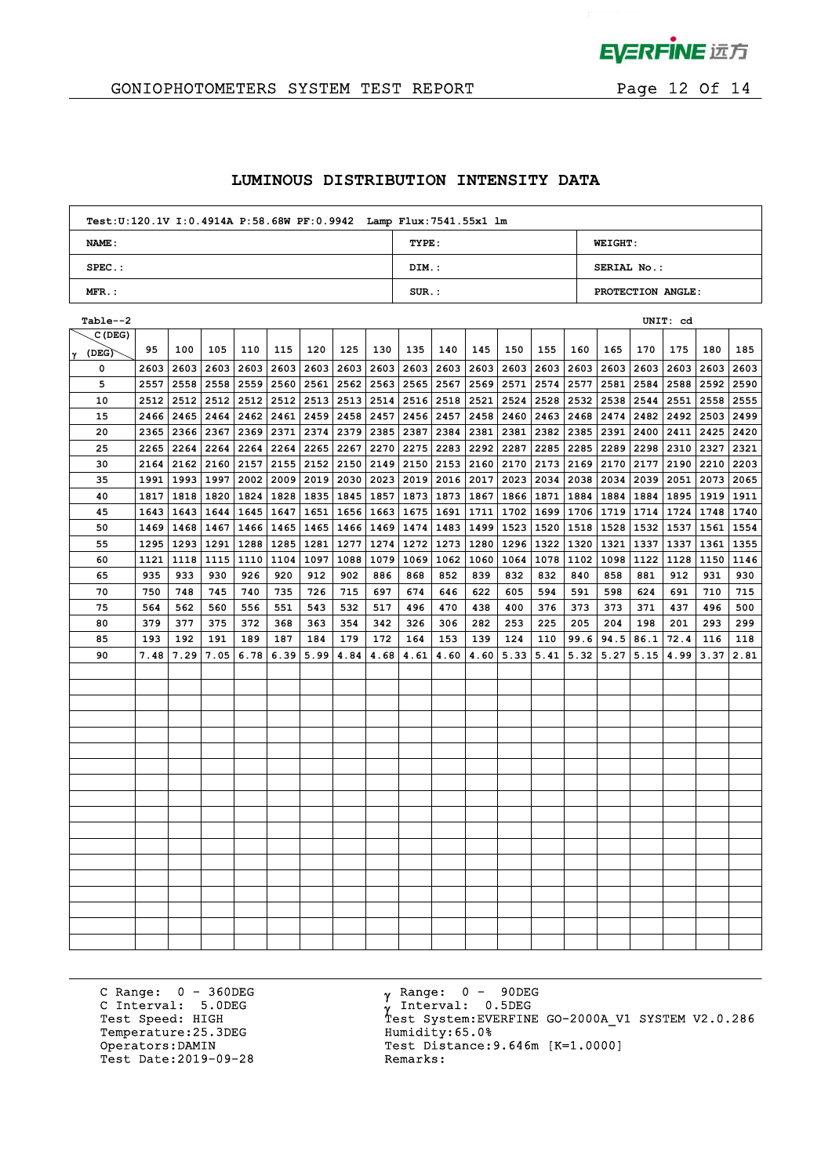

 $\mathcal{L}^{\mathcal{L}}$ 

# GONIOPHOTOMETERS SYSTEM TEST REPORT FOR Page 12 Of 14

#### **LUMINOUS DISTRIBUTION INTENSITY DATA**

| Test: U:120.1V I: 0.4914A P: 58.68W PF: 0.9942 Lamp Flux: 7541.55x1 lm |          |                    |
|------------------------------------------------------------------------|----------|--------------------|
| <b>NAME:</b>                                                           | TYPE:    | <b>WEIGHT:</b>     |
| $SPEC.$ :                                                              | DIM.:    | <b>SERIAL No.:</b> |
| $MFR.$ :                                                               | $SUR$ .: | PROTECTION ANGLE:  |

| Table--2   |      |           |      |      |               |      |      |      |           |             |      |      |           |             |           |      | UNIT: cd    |             |      |
|------------|------|-----------|------|------|---------------|------|------|------|-----------|-------------|------|------|-----------|-------------|-----------|------|-------------|-------------|------|
| C (DEG)    |      |           |      |      |               |      |      |      |           |             |      |      |           |             |           |      |             |             |      |
| (DEG)<br>Υ | 95   | 100       | 105  | 110  | 115           | 120  | 125  | 130  | 135       | 140         | 145  | 150  | 155       | 160         | 165       | 170  | 175         | 180         | 185  |
| 0          | 2603 | 2603      | 2603 |      | 2603 2603     | 2603 | 2603 | 2603 |           | 2603 2603   | 2603 | 2603 | 2603      |             | 2603 2603 | 2603 | 2603        | 2603        | 2603 |
| 5          | 2557 | 2558      | 2558 |      | 2559 2560     | 2561 | 2562 | 2563 |           | 2565 2567   | 2569 | 2571 | 2574      | 2577 2581   |           | 2584 | 2588        | 2592 2590   |      |
| 10         | 2512 | 2512      | 2512 |      | 2512 2512     | 2513 | 2513 | 2514 | 2516 2518 |             | 2521 | 2524 | 2528      |             | 2532 2538 | 2544 | 2551        | 2558 2555   |      |
| 15         | 2466 | 2465      | 2464 |      | 2462 2461     | 2459 | 2458 | 2457 | 2456 2457 |             | 2458 | 2460 | 2463      | 2468 2474   |           | 2482 | 2492        | 2503 2499   |      |
| 20         | 2365 | 2366      | 2367 |      | 2369 2371     | 2374 | 2379 | 2385 | 2387 2384 |             | 2381 | 2381 | 2382      | 2385        | 2391      | 2400 | 2411        | 2425 2420   |      |
| 25         | 2265 | 2264      | 2264 | 2264 | 2264          | 2265 | 2267 | 2270 | 2275 2283 |             | 2292 | 2287 | 2285      | 2285        | 2289      | 2298 | 2310        | 2327        | 2321 |
| 30         | 2164 | 2162      | 2160 |      | $2157$   2155 | 2152 | 2150 | 2149 | 2150 2153 |             | 2160 | 2170 | 2173      | 2169 2170   |           | 2177 | 2190        | 2210 2203   |      |
| 35         | 1991 | 1993      | 1997 |      | 2002 2009     | 2019 | 2030 | 2023 |           | 2019 2016   | 2017 | 2023 | 2034      | 2038 2034   |           | 2039 | 2051        | 2073 2065   |      |
| 40         | 1817 | 1818      | 1820 |      | 1824 1828     | 1835 | 1845 | 1857 | 1873 1873 |             | 1867 |      | 1866 1871 | 1884 1884   |           | 1884 | 1895        | 1919 1911   |      |
| 45         | 1643 | 1643      | 1644 |      | 1645   1647   | 1651 | 1656 | 1663 |           | 1675   1691 | 1711 | 1702 | 1699      | 1706 1719   |           | 1714 | 1724        | 1748 1740   |      |
| 50         | 1469 | 1468      | 1467 |      | $1466$   1465 | 1465 | 1466 | 1469 |           | 1474 1483   | 1499 | 1523 | 1520      | 1518   1528 |           |      | 1532   1537 | 1561 1554   |      |
| 55         | 1295 | 1293 1291 |      |      | 1288   1285   | 1281 | 1277 | 1274 | 1272 1273 |             | 1280 |      | 1296 1322 | 1320 1321   |           |      | 1337 1337   | 1361 1355   |      |
| 60         | 1121 | 1118      | 1115 |      | 1110 1104     | 1097 | 1088 | 1079 | 1069 1062 |             | 1060 | 1064 | 1078      | 1102        | 1098      | 1122 | 1128        | 1150   1146 |      |
| 65         | 935  | 933       | 930  | 926  | 920           | 912  | 902  | 886  | 868       | 852         | 839  | 832  | 832       | 840         | 858       | 881  | 912         | 931         | 930  |
| 70         | 750  | 748       | 745  | 740  | 735           | 726  | 715  | 697  | 674       | 646         | 622  | 605  | 594       | 591         | 598       | 624  | 691         | 710         | 715  |
| 75         | 564  | 562       | 560  | 556  | 551           | 543  | 532  | 517  | 496       | 470         | 438  | 400  | 376       | 373         | 373       | 371  | 437         | 496         | 500  |
| 80         | 379  | 377       | 375  | 372  | 368           | 363  | 354  | 342  | 326       | 306         | 282  | 253  | 225       | 205         | 204       | 198  | 201         | 293         | 299  |
| 85         | 193  | 192       | 191  | 189  | 187           | 184  | 179  | 172  | 164       | 153         | 139  | 124  | 110       | 99.6        | 94.5      | 86.1 | 72.4        | 116         | 118  |
| 90         | 7.48 | 7.29      | 7.05 | 6.78 | 6.39          | 5.99 | 4.84 | 4.68 | 4.61      | 4.60        | 4.60 | 5.33 | 5.41      | 5.32        | 5.27      | 5.15 | 4.99        | 3.37        | 2.81 |
|            |      |           |      |      |               |      |      |      |           |             |      |      |           |             |           |      |             |             |      |
|            |      |           |      |      |               |      |      |      |           |             |      |      |           |             |           |      |             |             |      |
|            |      |           |      |      |               |      |      |      |           |             |      |      |           |             |           |      |             |             |      |
|            |      |           |      |      |               |      |      |      |           |             |      |      |           |             |           |      |             |             |      |
|            |      |           |      |      |               |      |      |      |           |             |      |      |           |             |           |      |             |             |      |
|            |      |           |      |      |               |      |      |      |           |             |      |      |           |             |           |      |             |             |      |
|            |      |           |      |      |               |      |      |      |           |             |      |      |           |             |           |      |             |             |      |
|            |      |           |      |      |               |      |      |      |           |             |      |      |           |             |           |      |             |             |      |
|            |      |           |      |      |               |      |      |      |           |             |      |      |           |             |           |      |             |             |      |
|            |      |           |      |      |               |      |      |      |           |             |      |      |           |             |           |      |             |             |      |
|            |      |           |      |      |               |      |      |      |           |             |      |      |           |             |           |      |             |             |      |
|            |      |           |      |      |               |      |      |      |           |             |      |      |           |             |           |      |             |             |      |
|            |      |           |      |      |               |      |      |      |           |             |      |      |           |             |           |      |             |             |      |
|            |      |           |      |      |               |      |      |      |           |             |      |      |           |             |           |      |             |             |      |
|            |      |           |      |      |               |      |      |      |           |             |      |      |           |             |           |      |             |             |      |
|            |      |           |      |      |               |      |      |      |           |             |      |      |           |             |           |      |             |             |      |
|            |      |           |      |      |               |      |      |      |           |             |      |      |           |             |           |      |             |             |      |
|            |      |           |      |      |               |      |      |      |           |             |      |      |           |             |           |      |             |             |      |

C Range: 0 - 360DEG C Interval: 5.0DEG Temperature:25.3DEG Humidity:65.0%<br>Operators:DAMIN Test Distance: Test Date: 2019-09-28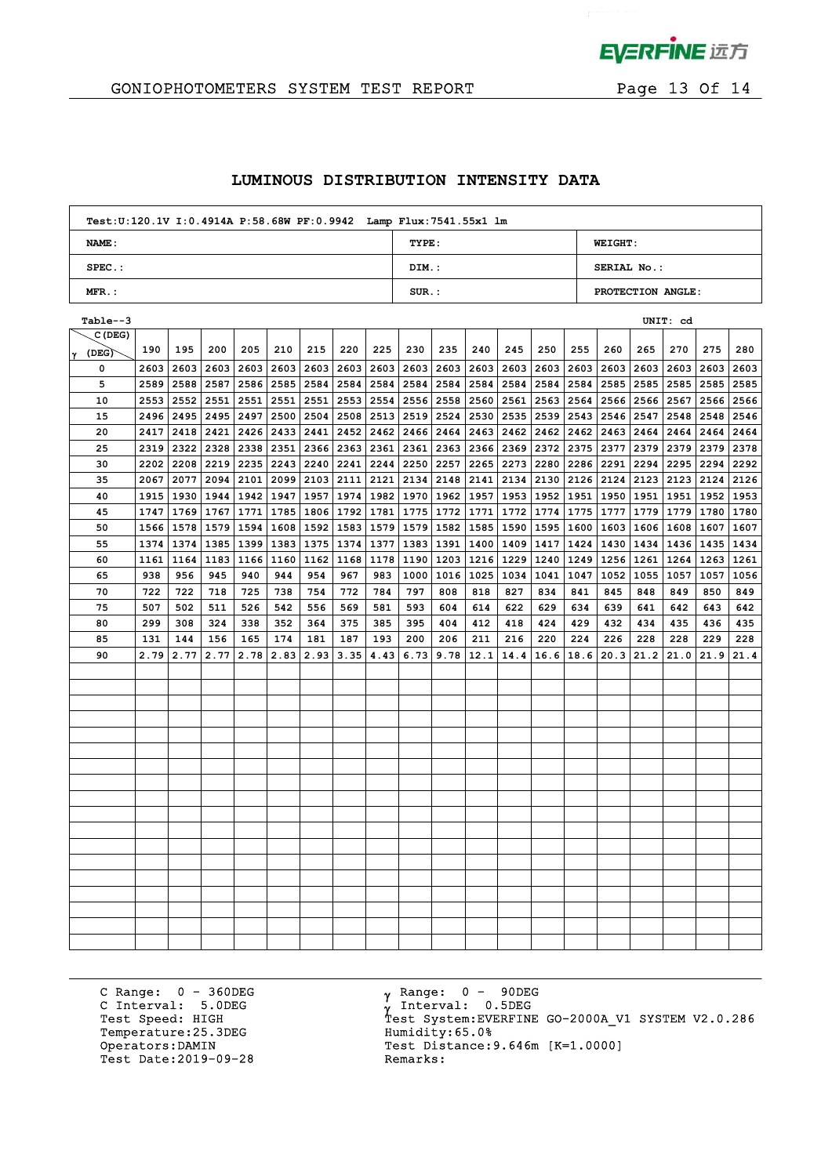

# GONIOPHOTOMETERS SYSTEM TEST REPORT FOR Page 13 Of 14

#### **LUMINOUS DISTRIBUTION INTENSITY DATA**

| Test: U:120.1V I: 0.4914A P: 58.68W PF: 0.9942 Lamp Flux: 7541.55x1 lm |          |                    |
|------------------------------------------------------------------------|----------|--------------------|
| <b>NAME:</b>                                                           | TYPE:    | <b>WEIGHT:</b>     |
| $SPEC.$ :                                                              | DIM.:    | <b>SERIAL No.:</b> |
| $MFR.$ :                                                               | $SUR$ .: | PROTECTION ANGLE:  |

| Table--3       |      |      |      |             |                    |             |      |             |           |      |      |      |             |             |           |      | UNIT: cd                  |             |      |
|----------------|------|------|------|-------------|--------------------|-------------|------|-------------|-----------|------|------|------|-------------|-------------|-----------|------|---------------------------|-------------|------|
| C(DEG)         |      |      |      |             |                    |             |      |             |           |      |      |      |             |             |           |      |                           |             |      |
| $\gamma$ (DEG) | 190  | 195  | 200  | 205         | 210                | 215         | 220  | 225         | 230       | 235  | 240  | 245  | 250         | 255         | 260       | 265  | 270                       | 275         | 280  |
| 0              | 2603 | 2603 | 2603 | 2603        |                    | 2603 2603   | 2603 | 2603        | 2603      | 2603 | 2603 | 2603 | 2603        |             | 2603 2603 | 2603 | 2603                      | 2603        | 2603 |
| 5              | 2589 | 2588 | 2587 |             | 2586 2585 2584     |             | 2584 | 2584        | 2584      | 2584 | 2584 | 2584 | 2584        |             | 2584 2585 | 2585 | 2585                      | 2585        | 2585 |
| 10             | 2553 | 2552 | 2551 | 2551        | 2551               | 2551        | 2553 | 2554        | 2556      | 2558 | 2560 | 2561 | 2563        |             | 2564 2566 | 2566 | 2567                      | 2566 2566   |      |
| 15             | 2496 | 2495 |      | 2495 2497   |                    | 2500 2504   | 2508 | 2513        | 2519      | 2524 | 2530 | 2535 | 2539        |             | 2543 2546 | 2547 | 2548                      | 2548        | 2546 |
| 20             | 2417 | 2418 | 2421 | 2426        | 2433 2441          |             | 2452 | 2462        | 2466      | 2464 | 2463 | 2462 | 2462        | 2462 2463   |           | 2464 | 2464                      | 2464        | 2464 |
| 25             | 2319 | 2322 | 2328 | 2338        | 2351               | 2366        | 2363 | 2361        | 2361      | 2363 | 2366 | 2369 | 2372        | 2375 2377   |           | 2379 | 2379                      | 2379        | 2378 |
| 30             | 2202 | 2208 |      | $2219$ 2235 | 2243 2240          |             | 2241 | 2244        | 2250      | 2257 | 2265 | 2273 | 2280        | 2286 2291   |           | 2294 | 2295                      | 2294        | 2292 |
| 35             | 2067 | 2077 | 2094 | 2101        |                    | 2099 2103   | 2111 |             | 2121 2134 | 2148 | 2141 | 2134 | 2130        | 2126 2124   |           | 2123 | 2123                      | 2124 2126   |      |
| 40             | 1915 | 1930 | 1944 |             | 1942   1947   1957 |             | 1974 |             | 1982 1970 | 1962 | 1957 |      | 1953   1952 | 1951   1950 |           | 1951 | 1951                      | 1952 1953   |      |
| 45             | 1747 | 1769 | 1767 | 1771        |                    | 1785   1806 | 1792 | 1781        | 1775      | 1772 | 1771 | 1772 | 1774        | 1775   1777 |           | 1779 | 1779                      | 1780        | 1780 |
| 50             | 1566 | 1578 | 1579 | 1594        |                    | 1608 1592   |      | 1583   1579 | 1579      | 1582 | 1585 | 1590 | 1595        | 1600   1603 |           |      | 1606 1608                 | 1607        | 1607 |
| 55             | 1374 | 1374 |      | 1385 1399   |                    | 1383   1375 |      | 1374   1377 | 1383      | 1391 | 1400 | 1409 | 1417        |             | 1424 1430 |      | 1434   1436   1435   1434 |             |      |
| 60             | 1161 | 1164 | 1183 | 1166        | 1160 1162          |             | 1168 | 1178        | 1190      | 1203 | 1216 | 1229 | 1240        |             | 1249 1256 | 1261 | 1264                      | 1263   1261 |      |
| 65             | 938  | 956  | 945  | 940         | 944                | 954         | 967  | 983         | 1000      | 1016 | 1025 | 1034 | 1041        | 1047   1052 |           | 1055 | 1057                      | 1057        | 1056 |
| 70             | 722  | 722  | 718  | 725         | 738                | 754         | 772  | 784         | 797       | 808  | 818  | 827  | 834         | 841         | 845       | 848  | 849                       | 850         | 849  |
| 75             | 507  | 502  | 511  | 526         | 542                | 556         | 569  | 581         | 593       | 604  | 614  | 622  | 629         | 634         | 639       | 641  | 642                       | 643         | 642  |
| 80             | 299  | 308  | 324  | 338         | 352                | 364         | 375  | 385         | 395       | 404  | 412  | 418  | 424         | 429         | 432       | 434  | 435                       | 436         | 435  |
| 85             | 131  | 144  | 156  | 165         | 174                | 181         | 187  | 193         | 200       | 206  | 211  | 216  | 220         | 224         | 226       | 228  | 228                       | 229         | 228  |
| 90             | 2.79 | 2.77 | 2.77 | 2.78        | 2.83               | 2.93        | 3.35 | 4.43        | 6.73      | 9.78 | 12.1 | 14.4 | 16.6        | 18.6        | 20.3      | 21.2 | 21.0                      | 21.9        | 21.4 |
|                |      |      |      |             |                    |             |      |             |           |      |      |      |             |             |           |      |                           |             |      |
|                |      |      |      |             |                    |             |      |             |           |      |      |      |             |             |           |      |                           |             |      |
|                |      |      |      |             |                    |             |      |             |           |      |      |      |             |             |           |      |                           |             |      |
|                |      |      |      |             |                    |             |      |             |           |      |      |      |             |             |           |      |                           |             |      |
|                |      |      |      |             |                    |             |      |             |           |      |      |      |             |             |           |      |                           |             |      |
|                |      |      |      |             |                    |             |      |             |           |      |      |      |             |             |           |      |                           |             |      |
|                |      |      |      |             |                    |             |      |             |           |      |      |      |             |             |           |      |                           |             |      |
|                |      |      |      |             |                    |             |      |             |           |      |      |      |             |             |           |      |                           |             |      |
|                |      |      |      |             |                    |             |      |             |           |      |      |      |             |             |           |      |                           |             |      |
|                |      |      |      |             |                    |             |      |             |           |      |      |      |             |             |           |      |                           |             |      |
|                |      |      |      |             |                    |             |      |             |           |      |      |      |             |             |           |      |                           |             |      |
|                |      |      |      |             |                    |             |      |             |           |      |      |      |             |             |           |      |                           |             |      |
|                |      |      |      |             |                    |             |      |             |           |      |      |      |             |             |           |      |                           |             |      |
|                |      |      |      |             |                    |             |      |             |           |      |      |      |             |             |           |      |                           |             |      |
|                |      |      |      |             |                    |             |      |             |           |      |      |      |             |             |           |      |                           |             |      |
|                |      |      |      |             |                    |             |      |             |           |      |      |      |             |             |           |      |                           |             |      |
|                |      |      |      |             |                    |             |      |             |           |      |      |      |             |             |           |      |                           |             |      |
|                |      |      |      |             |                    |             |      |             |           |      |      |      |             |             |           |      |                           |             |      |

C Range: 0 - 360DEG C Interval: 5.0DEG Temperature:25.3DEG Humidity:65.0%<br>Operators:DAMIN Test Distance: Test Date: 2019-09-28